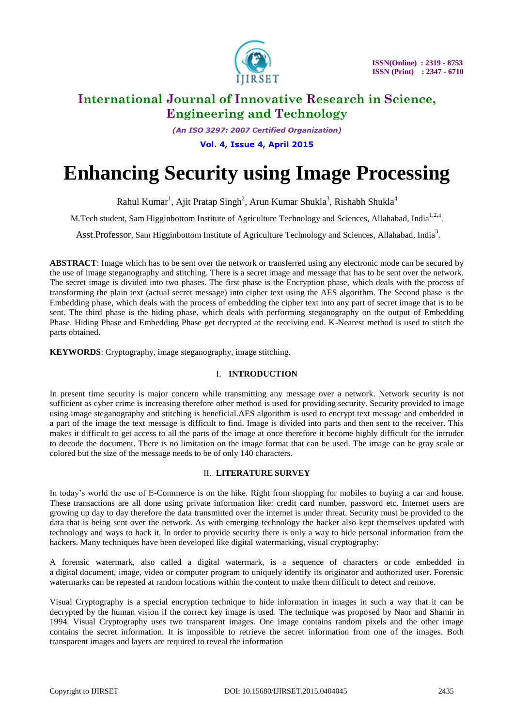

*(An ISO 3297: 2007 Certified Organization)*

**Vol. 4, Issue 4, April 2015**

# **Enhancing Security using Image Processing**

Rahul Kumar<sup>1</sup>, Ajit Pratap Singh<sup>2</sup>, Arun Kumar Shukla<sup>3</sup>, Rishabh Shukla<sup>4</sup>

M.Tech student, Sam Higginbottom Institute of Agriculture Technology and Sciences, Allahabad, India<sup>1,2,4</sup>.

Asst.Professor, Sam Higginbottom Institute of Agriculture Technology and Sciences, Allahabad, India<sup>3</sup>.

**ABSTRACT**: Image which has to be sent over the network or transferred using any electronic mode can be secured by the use of image steganography and stitching. There is a secret image and message that has to be sent over the network. The secret image is divided into two phases. The first phase is the Encryption phase, which deals with the process of transforming the plain text (actual secret message) into cipher text using the AES algorithm. The Second phase is the Embedding phase, which deals with the process of embedding the cipher text into any part of secret image that is to be sent. The third phase is the hiding phase, which deals with performing steganography on the output of Embedding Phase. Hiding Phase and Embedding Phase get decrypted at the receiving end. K-Nearest method is used to stitch the parts obtained.

**KEYWORDS**: Cryptography, image steganography, image stitching.

# I. **INTRODUCTION**

In present time security is major concern while transmitting any message over a network. Network security is not sufficient as cyber crime is increasing therefore other method is used for providing security. Security provided to image using image steganography and stitching is beneficial.AES algorithm is used to encrypt text message and embedded in a part of the image the text message is difficult to find. Image is divided into parts and then sent to the receiver. This makes it difficult to get access to all the parts of the image at once therefore it become highly difficult for the intruder to decode the document. There is no limitation on the image format that can be used. The image can be gray scale or colored but the size of the message needs to be of only 140 characters.

### II. **LITERATURE SURVEY**

In today's world the use of E-Commerce is on the hike. Right from shopping for mobiles to buying a car and house. These transactions are all done using private information like: credit card number, password etc. Internet users are growing up day to day therefore the data transmitted over the internet is under threat. Security must be provided to the data that is being sent over the network. As with emerging technology the hacker also kept themselves updated with technology and ways to hack it. In order to provide security there is only a way to hide personal information from the hackers. Many techniques have been developed like digital watermarking, visual cryptography:

A forensic watermark, also called a digital watermark, is a sequence of characters or code embedded in a digital document, image, video or computer program to uniquely identify its originator and authorized user. Forensic watermarks can be repeated at random locations within the content to make them difficult to detect and remove.

Visual Cryptography is a special encryption technique to hide information in images in such a way that it can be decrypted by the human vision if the correct key image is used. The technique was proposed by Naor and Shamir in 1994. Visual Cryptography uses two transparent images. One image contains random pixels and the other image contains the secret information. It is impossible to retrieve the secret information from one of the images. Both transparent images and layers are required to reveal the information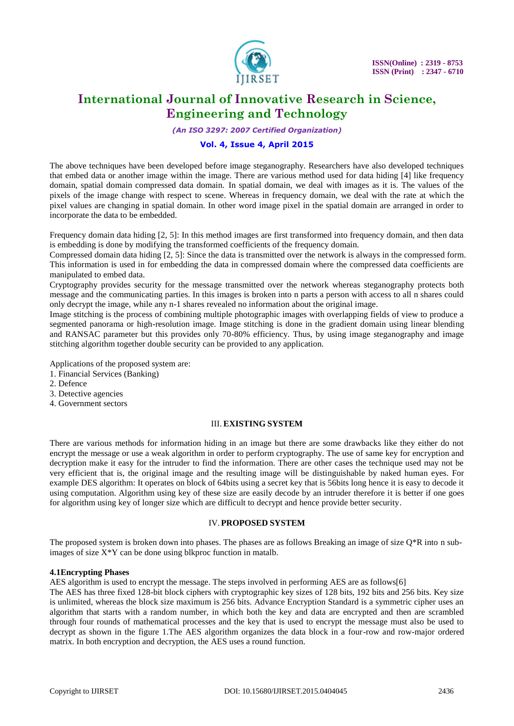

*(An ISO 3297: 2007 Certified Organization)*

### **Vol. 4, Issue 4, April 2015**

The above techniques have been developed before image steganography. Researchers have also developed techniques that embed data or another image within the image. There are various method used for data hiding [4] like frequency domain, spatial domain compressed data domain. In spatial domain, we deal with images as it is. The values of the pixels of the image change with respect to scene. Whereas in frequency domain, we deal with the rate at which the pixel values are changing in spatial domain. In other word image pixel in the spatial domain are arranged in order to incorporate the data to be embedded.

Frequency domain data hiding [2, 5]: In this method images are first transformed into frequency domain, and then data is embedding is done by modifying the transformed coefficients of the frequency domain.

Compressed domain data hiding [2, 5]: Since the data is transmitted over the network is always in the compressed form. This information is used in for embedding the data in compressed domain where the compressed data coefficients are manipulated to embed data.

Cryptography provides security for the message transmitted over the network whereas steganography protects both message and the communicating parties. In this images is broken into n parts a person with access to all n shares could only decrypt the image, while any n-1 shares revealed no information about the original image.

Image stitching is the process of combining multiple photographic images with overlapping fields of view to produce a segmented panorama or high-resolution image. Image stitching is done in the gradient domain using linear blending and RANSAC parameter but this provides only 70-80% efficiency. Thus, by using image steganography and image stitching algorithm together double security can be provided to any application.

Applications of the proposed system are:

- 1. Financial Services (Banking)
- 2. Defence
- 3. Detective agencies
- 4. Government sectors

### III. **EXISTING SYSTEM**

There are various methods for information hiding in an image but there are some drawbacks like they either do not encrypt the message or use a weak algorithm in order to perform cryptography. The use of same key for encryption and decryption make it easy for the intruder to find the information. There are other cases the technique used may not be very efficient that is, the original image and the resulting image will be distinguishable by naked human eyes. For example DES algorithm: It operates on block of 64bits using a secret key that is 56bits long hence it is easy to decode it using computation. Algorithm using key of these size are easily decode by an intruder therefore it is better if one goes for algorithm using key of longer size which are difficult to decrypt and hence provide better security.

#### IV.**PROPOSED SYSTEM**

The proposed system is broken down into phases. The phases are as follows Breaking an image of size Q\*R into n subimages of size X\*Y can be done using blkproc function in matalb.

#### **4.1Encrypting Phases**

AES algorithm is used to encrypt the message. The steps involved in performing AES are as follows[6]

The AES has three fixed 128-bit block ciphers with cryptographic key sizes of 128 bits, 192 bits and 256 bits. Key size is unlimited, whereas the block size maximum is 256 bits. Advance Encryption Standard is a symmetric cipher uses an algorithm that starts with a random number, in which both the key and data are encrypted and then are scrambled through four rounds of mathematical processes and the key that is used to encrypt the message must also be used to decrypt as shown in the figure 1.The AES algorithm organizes the data block in a four-row and row-major ordered matrix. In both encryption and decryption, the AES uses a round function.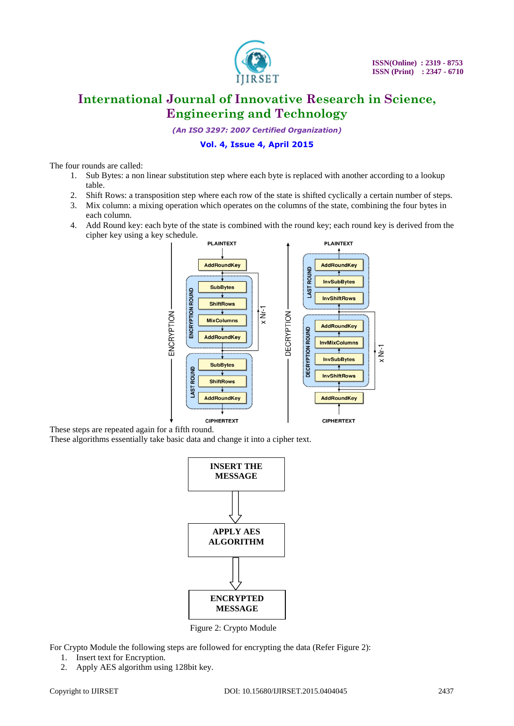

*(An ISO 3297: 2007 Certified Organization)*

### **Vol. 4, Issue 4, April 2015**

The four rounds are called:

- 1. Sub Bytes: a non linear substitution step where each byte is replaced with another according to a lookup table.
- 2. Shift Rows: a transposition step where each row of the state is shifted cyclically a certain number of steps.
- 3. Mix column: a mixing operation which operates on the columns of the state, combining the four bytes in each column.
- 4. Add Round key: each byte of the state is combined with the round key; each round key is derived from the cipher key using a key schedule.



These steps are repeated again for a fifth round.

These algorithms essentially take basic data and change it into a cipher text.



Figure 2: Crypto Module

For Crypto Module the following steps are followed for encrypting the data (Refer Figure 2):

- 1. Insert text for Encryption.
- 2. Apply AES algorithm using 128bit key.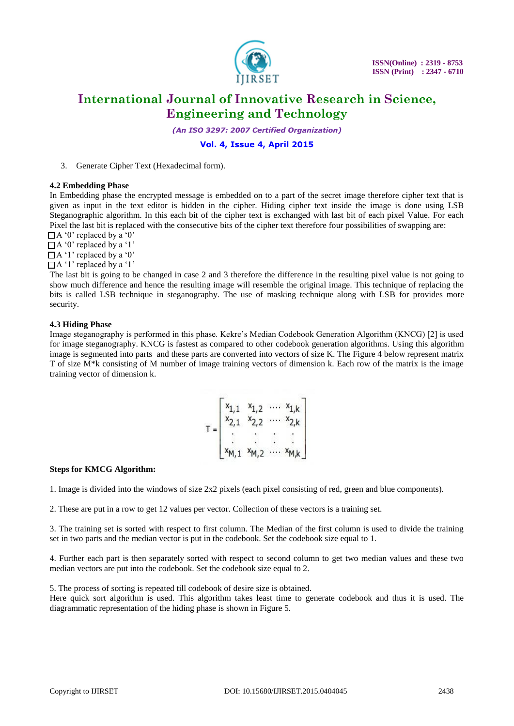

 **ISSN(Online) : 2319 - 8753 ISSN (Print) : 2347 - 6710** 

# **International Journal of Innovative Research in Science, Engineering and Technology**

*(An ISO 3297: 2007 Certified Organization)*

# **Vol. 4, Issue 4, April 2015**

3. Generate Cipher Text (Hexadecimal form).

#### **4.2 Embedding Phase**

In Embedding phase the encrypted message is embedded on to a part of the secret image therefore cipher text that is given as input in the text editor is hidden in the cipher. Hiding cipher text inside the image is done using LSB Steganographic algorithm. In this each bit of the cipher text is exchanged with last bit of each pixel Value. For each Pixel the last bit is replaced with the consecutive bits of the cipher text therefore four possibilities of swapping are:

 $\Box$  A '0' replaced by a '0'

 $\Box$  A '0' replaced by a '1'

 $\Box$  A '1' replaced by a '0'

 $\Box$  A '1' replaced by a '1'

The last bit is going to be changed in case 2 and 3 therefore the difference in the resulting pixel value is not going to show much difference and hence the resulting image will resemble the original image. This technique of replacing the bits is called LSB technique in steganography. The use of masking technique along with LSB for provides more security.

#### **4.3 Hiding Phase**

Image steganography is performed in this phase. Kekre's Median Codebook Generation Algorithm (KNCG) [2] is used for image steganography. KNCG is fastest as compared to other codebook generation algorithms. Using this algorithm image is segmented into parts and these parts are converted into vectors of size K. The Figure 4 below represent matrix T of size M\*k consisting of M number of image training vectors of dimension k. Each row of the matrix is the image training vector of dimension k.

|  |                | $x_{1,2}$      |          | $\cdots$ $x_{1,k}$                 |
|--|----------------|----------------|----------|------------------------------------|
|  | $\overline{2}$ | x <sub>2</sub> |          | $x_2$ <sub><math>\mid</math></sub> |
|  |                |                |          |                                    |
|  |                |                |          |                                    |
|  |                | $x_{M,2}$      | $\cdots$ | $x_{M,k}$                          |

### **Steps for KMCG Algorithm:**

1. Image is divided into the windows of size 2x2 pixels (each pixel consisting of red, green and blue components).

2. These are put in a row to get 12 values per vector. Collection of these vectors is a training set.

3. The training set is sorted with respect to first column. The Median of the first column is used to divide the training set in two parts and the median vector is put in the codebook. Set the codebook size equal to 1.

4. Further each part is then separately sorted with respect to second column to get two median values and these two median vectors are put into the codebook. Set the codebook size equal to 2.

5. The process of sorting is repeated till codebook of desire size is obtained.

Here quick sort algorithm is used. This algorithm takes least time to generate codebook and thus it is used. The diagrammatic representation of the hiding phase is shown in Figure 5.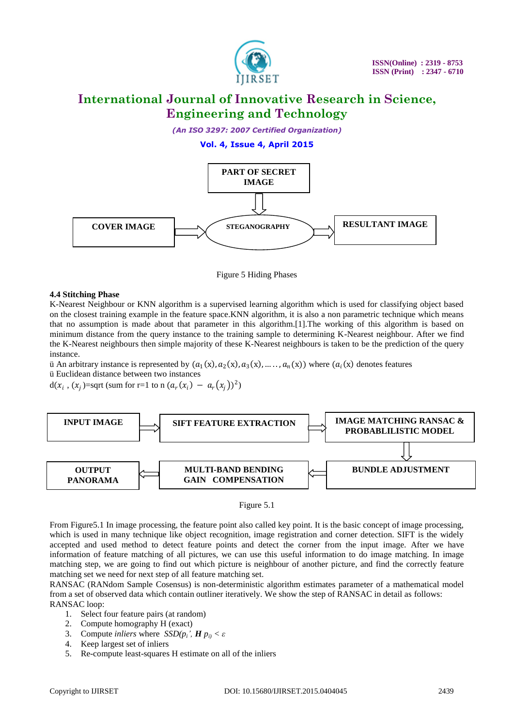

*(An ISO 3297: 2007 Certified Organization)*

# **Vol. 4, Issue 4, April 2015**





### **4.4 Stitching Phase**

K-Nearest Neighbour or KNN algorithm is a supervised learning algorithm which is used for classifying object based on the closest training example in the feature space.KNN algorithm, it is also a non parametric technique which means that no assumption is made about that parameter in this algorithm.[1].The working of this algorithm is based on minimum distance from the query instance to the training sample to determining K-Nearest neighbour. After we find the K-Nearest neighbours then simple majority of these K-Nearest neighbours is taken to be the prediction of the query instance.

ii An arbitrary instance is represented by  $(a_1(x), a_2(x), a_3(x), \dots, a_n(x))$  where  $(a_i(x))$  denotes features ü Euclidean distance between two instances

d( $x_i$ , ( $x_j$ )=sqrt (sum for r=1 to n ( $a_r(x_i) - a_r(x_j)$ )<sup>2</sup>)





From Figure5.1 In image processing, the feature point also called key point. It is the basic concept of image processing, which is used in many technique like object recognition, image registration and corner detection. SIFT is the widely accepted and used method to detect feature points and detect the corner from the input image. After we have information of feature matching of all pictures, we can use this useful information to do image matching. In image matching step, we are going to find out which picture is neighbour of another picture, and find the correctly feature matching set we need for next step of all feature matching set.

RANSAC (RANdom Sample Cosensus) is non-deterministic algorithm estimates parameter of a mathematical model from a set of observed data which contain outliner iteratively. We show the step of RANSAC in detail as follows: RANSAC loop:

- 1. Select four feature pairs (at random)
- 2. Compute homography H (exact)
- 3. Compute *inliers* where  $SSD(p_i^{\prime}, H p_i) < \varepsilon$
- 4. Keep largest set of inliers
- 5. Re-compute least-squares H estimate on all of the inliers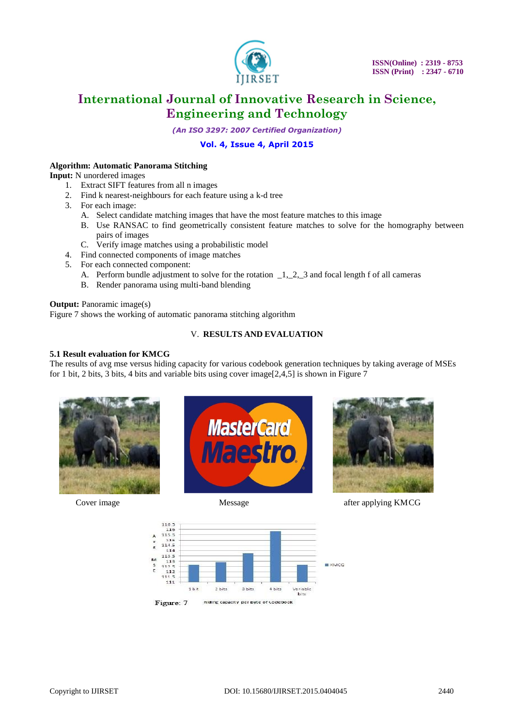

*(An ISO 3297: 2007 Certified Organization)*

# **Vol. 4, Issue 4, April 2015**

### **Algorithm: Automatic Panorama Stitching**

**Input:** N unordered images

- 1. Extract SIFT features from all n images
- 2. Find k nearest-neighbours for each feature using a k-d tree
- 3. For each image:
	- A. Select candidate matching images that have the most feature matches to this image
	- B. Use RANSAC to find geometrically consistent feature matches to solve for the homography between pairs of images
	- C. Verify image matches using a probabilistic model
- 4. Find connected components of image matches
- 5. For each connected component:
	- A. Perform bundle adjustment to solve for the rotation 1, 2, 3 and focal length f of all cameras
	- B. Render panorama using multi-band blending

#### **Output:** Panoramic image(s)

Figure 7 shows the working of automatic panorama stitching algorithm

### V. **RESULTS AND EVALUATION**

# **5.1 Result evaluation for KMCG**

The results of avg mse versus hiding capacity for various codebook generation techniques by taking average of MSEs for 1 bit, 2 bits, 3 bits, 4 bits and variable bits using cover image[2,4,5] is shown in Figure 7







**Cover image 1988 Message 1988 Message 3 Alexander after applying KMCG** 

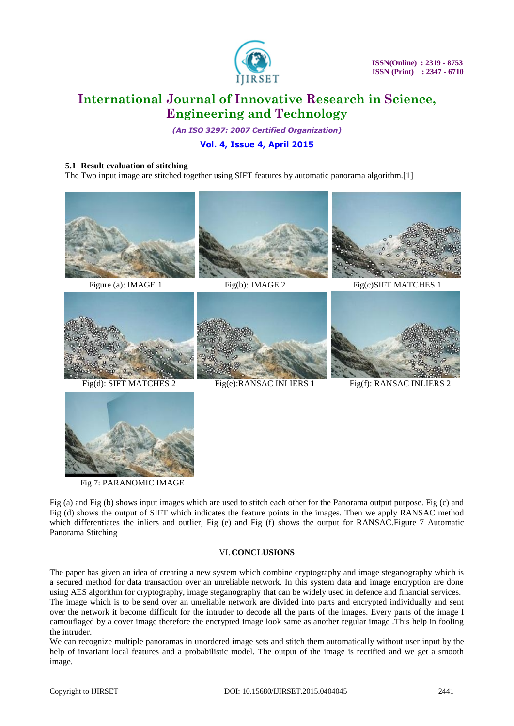

*(An ISO 3297: 2007 Certified Organization)*

# **Vol. 4, Issue 4, April 2015**

#### **5.1 Result evaluation of stitching**

The Two input image are stitched together using SIFT features by automatic panorama algorithm.[1]









Fig(d): SIFT MATCHES 2 Fig(e):RANSAC INLIERS 1 Fig(f): RANSAC INLIERS 2



Fig 7: PARANOMIC IMAGE

Fig (a) and Fig (b) shows input images which are used to stitch each other for the Panorama output purpose. Fig (c) and Fig (d) shows the output of SIFT which indicates the feature points in the images. Then we apply RANSAC method which differentiates the inliers and outlier, Fig (e) and Fig (f) shows the output for RANSAC.Figure 7 Automatic Panorama Stitching

### VI.**CONCLUSIONS**

The paper has given an idea of creating a new system which combine cryptography and image steganography which is a secured method for data transaction over an unreliable network. In this system data and image encryption are done using AES algorithm for cryptography, image steganography that can be widely used in defence and financial services. The image which is to be send over an unreliable network are divided into parts and encrypted individually and sent over the network it become difficult for the intruder to decode all the parts of the images. Every parts of the image I camouflaged by a cover image therefore the encrypted image look same as another regular image .This help in fooling the intruder.

We can recognize multiple panoramas in unordered image sets and stitch them automatically without user input by the help of invariant local features and a probabilistic model. The output of the image is rectified and we get a smooth image.